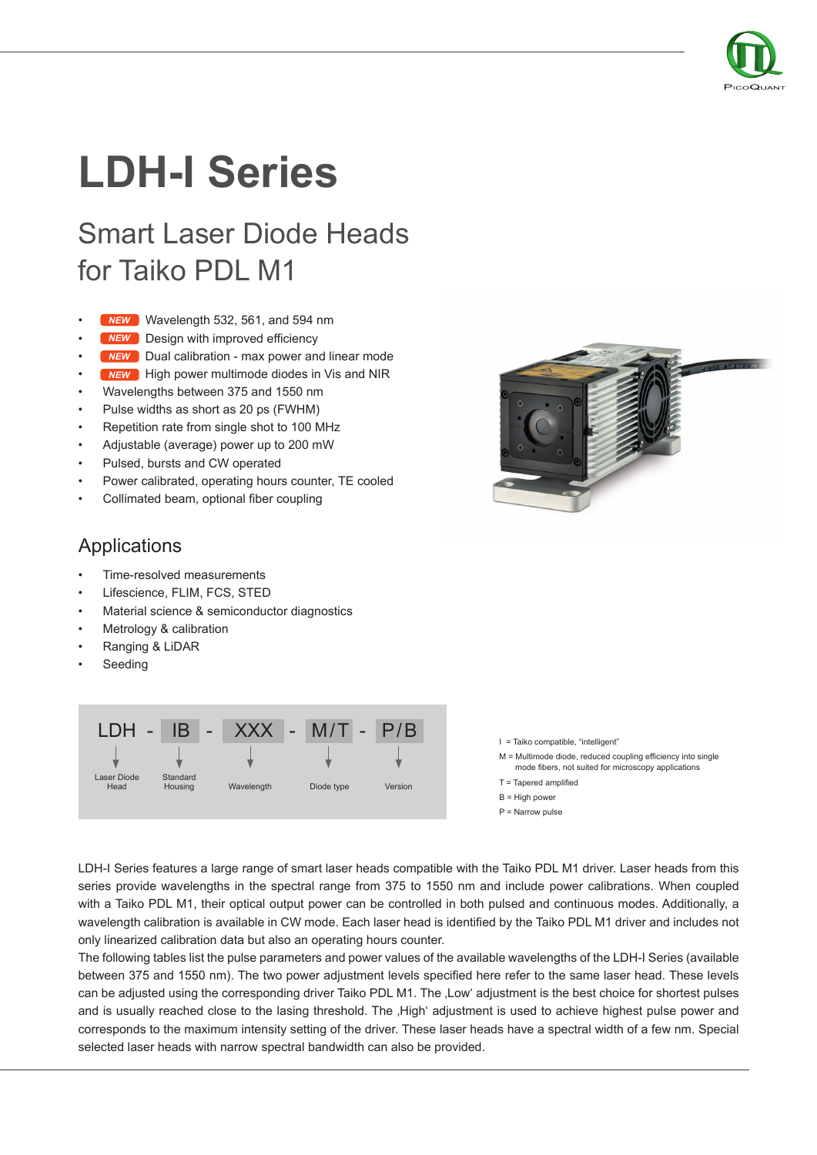

# **LDH-I Series**

# Smart Laser Diode Heads for Taiko PDL M1

- **MEW** Wavelength 532, 561, and 594 nm
- MEW Design with improved efficiency
- **MEW** Dual calibration max power and linear mode
- **MEW** High power multimode diodes in Vis and NIR
- Wavelengths between 375 and 1550 nm
- Pulse widths as short as 20 ps (FWHM)
- Repetition rate from single shot to 100 MHz
- Adjustable (average) power up to 200 mW
- Pulsed, bursts and CW operated
- Power calibrated, operating hours counter, TE cooled
- Collimated beam, optional fiber coupling



#### Applications

- Time-resolved measurements
- Lifescience, FLIM, FCS, STED
- Material science & semiconductor diagnostics
- Metrology & calibration
- Ranging & LiDAR
- **Seeding**



I = Taiko compatible, "intelligent"

- M = Multimode diode, reduced coupling efficiency into single mode fibers, not suited for microscopy applications
- T = Tapered amplified
- B = High power
- P = Narrow pulse

LDH-I Series features a large range of smart laser heads compatible with the Taiko PDL M1 driver. Laser heads from this series provide wavelengths in the spectral range from 375 to 1550 nm and include power calibrations. When coupled with a Taiko PDL M1, their optical output power can be controlled in both pulsed and continuous modes. Additionally, a wavelength calibration is available in CW mode. Each laser head is identified by the Taiko PDL M1 driver and includes not only linearized calibration data but also an operating hours counter.

The following tables list the pulse parameters and power values of the available wavelengths of the LDH-I Series (available between 375 and 1550 nm). The two power adjustment levels specified here refer to the same laser head. These levels can be adjusted using the corresponding driver Taiko PDL M1. The 'Low' adjustment is the best choice for shortest pulses and is usually reached close to the lasing threshold. The ,High' adjustment is used to achieve highest pulse power and corresponds to the maximum intensity setting of the driver. These laser heads have a spectral width of a few nm. Special selected laser heads with narrow spectral bandwidth can also be provided.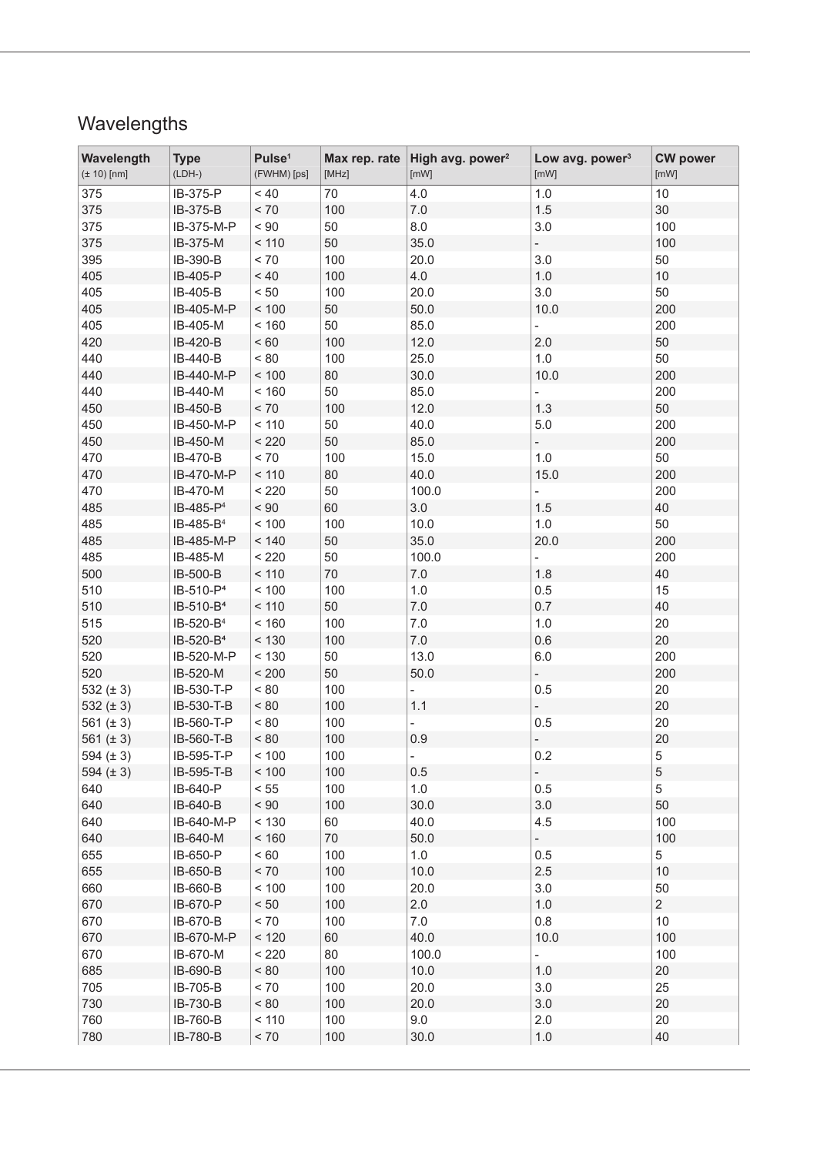## Wavelengths

| Wavelength<br>$(± 10)$ [nm] | <b>Type</b><br>$(LDH-)$ | Pulse <sup>1</sup><br>(FWHM) [ps] | Max rep. rate<br>[MHz] | High avg. power <sup>2</sup><br>[mW] | Low avg. power <sup>3</sup><br>[mW] | <b>CW power</b><br>[mW] |
|-----------------------------|-------------------------|-----------------------------------|------------------------|--------------------------------------|-------------------------------------|-------------------------|
| 375                         | IB-375-P                | $~<$ 40                           | 70                     | 4.0                                  | 1.0                                 | $10$                    |
| 375                         | IB-375-B                | $< 70$                            | 100                    | $7.0$                                | 1.5                                 | 30                      |
| 375                         | IB-375-M-P              | $< 90$                            | 50                     | 8.0                                  | 3.0                                 | 100                     |
| 375                         | IB-375-M                | < 110                             | 50                     | 35.0                                 |                                     | 100                     |
| 395                         | IB-390-B                | $< 70$                            | 100                    | 20.0                                 | 3.0                                 | 50                      |
| 405                         | IB-405-P                | $~<$ 40                           | 100                    | 4.0                                  | 1.0                                 | $10$                    |
| 405                         | IB-405-B                | $< 50$                            | 100                    | 20.0                                 | 3.0                                 | 50                      |
| 405                         | IB-405-M-P              | < 100                             | 50                     | 50.0                                 | 10.0                                | 200                     |
| 405                         | IB-405-M                | < 160                             | 50                     | 85.0                                 |                                     | 200                     |
| 420                         | IB-420-B                | $< 60$                            | 100                    | 12.0                                 | 2.0                                 | 50                      |
| 440                         | IB-440-B                | $< 80$                            | 100                    | 25.0                                 | 1.0                                 | 50                      |
| 440                         | IB-440-M-P              | < 100                             | 80                     | 30.0                                 | 10.0                                | 200                     |
| 440                         | IB-440-M                | < 160                             | 50                     | 85.0                                 |                                     | 200                     |
| 450                         | IB-450-B                | $< 70$                            | 100                    | 12.0                                 | 1.3                                 | 50                      |
| 450                         | IB-450-M-P              | < 110                             | 50                     | 40.0                                 | 5.0                                 | 200                     |
| 450                         | IB-450-M                | < 220                             | 50                     | 85.0                                 |                                     | 200                     |
| 470                         | IB-470-B                | $< 70\,$                          | 100                    | 15.0                                 | 1.0                                 | 50                      |
| 470                         | IB-470-M-P              | < 110                             | 80                     | 40.0                                 | 15.0                                | 200                     |
| 470                         | IB-470-M                | < 220                             | 50                     | 100.0                                |                                     | 200                     |
| 485                         | IB-485-P <sup>4</sup>   | $< 90$                            | 60                     | 3.0                                  | 1.5                                 | 40                      |
| 485                         | IB-485-B <sup>4</sup>   | < 100                             | 100                    | 10.0                                 | 1.0                                 | 50                      |
| 485                         | IB-485-M-P              | < 140                             | 50                     | 35.0                                 | 20.0                                | 200                     |
| 485                         | IB-485-M                | $<220\,$                          | 50                     | 100.0                                |                                     | 200                     |
| 500                         | IB-500-B                | < 110                             | $70\,$                 | $7.0\,$                              | 1.8                                 | 40                      |
| 510                         | IB-510-P <sup>4</sup>   | < 100                             | 100                    | 1.0                                  | 0.5                                 | 15                      |
| 510                         | IB-510-B <sup>4</sup>   | < 110                             | 50                     | $7.0\,$                              | 0.7                                 | 40                      |
| 515                         | IB-520-B <sup>4</sup>   | < 160                             | 100                    | $7.0\,$                              | 1.0                                 | 20                      |
| 520                         | IB-520-B <sup>4</sup>   | < 130                             | 100                    | $7.0\,$                              | 0.6                                 | 20                      |
| 520                         | IB-520-M-P              | < 130                             | 50                     | 13.0                                 | 6.0                                 | 200                     |
| 520                         | IB-520-M                | < 200                             | 50                     | 50.0                                 |                                     | 200                     |
| 532 $(\pm 3)$               | IB-530-T-P              | $< 80\,$                          | 100                    |                                      | 0.5                                 | 20                      |
| 532 $(\pm 3)$               | IB-530-T-B              | ~< 80                             | 100                    | 1.1                                  |                                     | 20                      |
| 561 $(\pm 3)$               | IB-560-T-P              | $< 80$                            | 100                    |                                      | 0.5                                 | 20                      |
| 561 $(\pm 3)$               | IB-560-T-B              | < 80                              | 100                    | 0.9                                  |                                     | 20                      |
| 594 $(\pm 3)$               | IB-595-T-P              | < 100                             | 100                    |                                      | 0.2                                 | 5                       |
| 594 $(\pm 3)$               | IB-595-T-B              | < 100                             | 100                    | $0.5\,$                              |                                     | $\,$ 5 $\,$             |
| 640                         | IB-640-P                | < 55                              | 100                    | 1.0                                  | 0.5                                 | 5                       |
| 640                         | IB-640-B                | ~< 90                             | 100                    | 30.0                                 | 3.0                                 | 50                      |
| 640                         | IB-640-M-P              | < 130                             | 60                     | 40.0                                 | 4.5                                 | 100                     |
| 640                         | IB-640-M                | < 160                             | $70\,$                 | $50.0\,$                             | ÷,                                  | 100                     |
| 655                         | IB-650-P                | < 60                              | 100                    | 1.0                                  | 0.5                                 | 5                       |
| 655                         | IB-650-B                | $< 70$                            | 100                    | 10.0                                 | 2.5                                 | $10$                    |
| 660                         | IB-660-B                | < 100                             | 100                    | 20.0                                 | 3.0                                 | 50                      |
| 670                         | IB-670-P                | < 50                              | 100                    | 2.0                                  | $1.0\,$                             | $\overline{2}$          |
| 670                         | IB-670-B                | < 70                              | 100                    | 7.0                                  | 0.8                                 | 10                      |
| 670                         | IB-670-M-P              | < 120                             | 60                     | 40.0                                 | 10.0                                | 100                     |
| 670                         | IB-670-M                | < 220                             | 80                     | 100.0                                | ÷.                                  | 100                     |
| 685                         | IB-690-B                | < 80                              | 100                    | 10.0                                 | 1.0                                 | 20                      |
| 705                         | IB-705-B                | < 70                              | 100                    | 20.0                                 | 3.0                                 | 25                      |
| 730                         | IB-730-B                | $< 80$                            | 100                    | 20.0                                 | 3.0                                 | 20                      |
| 760                         | IB-760-B                | < 110                             | 100                    | 9.0                                  | 2.0                                 | 20                      |
| 780                         | IB-780-B                | $< 70$                            | 100                    | 30.0                                 | 1.0                                 | 40                      |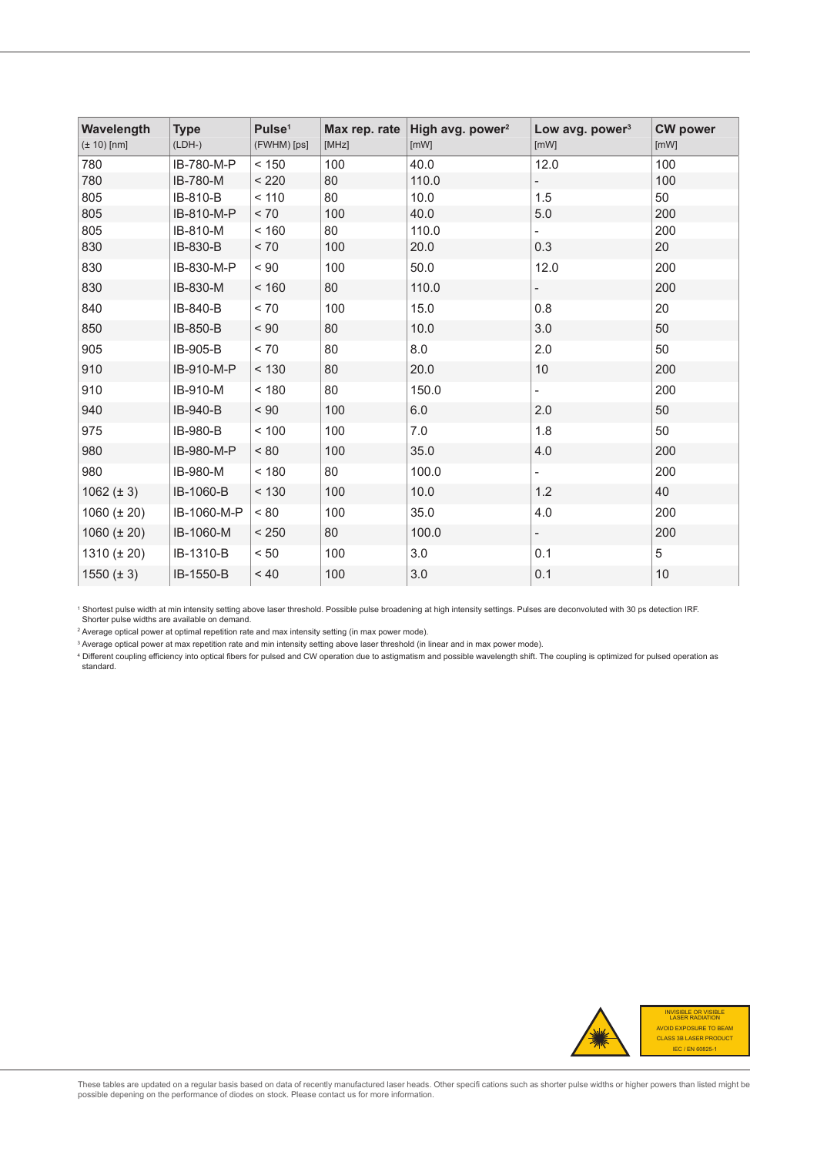| Wavelength<br>$(\pm 10)$ [nm] | <b>Type</b><br>$(LDH-)$ | Pulse <sup>1</sup><br>(FWHM) [ps] | Max rep. rate<br>[MHz] | High avg. power <sup>2</sup><br>[mW] | Low avg. power $3$<br>[mW] | <b>CW power</b><br>[mW] |
|-------------------------------|-------------------------|-----------------------------------|------------------------|--------------------------------------|----------------------------|-------------------------|
| 780                           | IB-780-M-P              | < 150                             | 100                    | 40.0                                 | 12.0                       | 100                     |
| 780                           | IB-780-M                | < 220                             | 80                     | 110.0                                | Ξ.                         | 100                     |
| 805                           | IB-810-B                | < 110                             | 80                     | 10.0                                 | 1.5                        | 50                      |
| 805                           | IB-810-M-P              | < 70                              | 100                    | 40.0                                 | 5.0                        | 200                     |
| 805                           | IB-810-M                | < 160                             | 80                     | 110.0                                | $\overline{\phantom{0}}$   | 200                     |
| 830                           | IB-830-B                | < 70                              | 100                    | 20.0                                 | 0.3                        | 20                      |
| 830                           | IB-830-M-P              | < 90                              | 100                    | 50.0                                 | 12.0                       | 200                     |
| 830                           | IB-830-M                | < 160                             | 80                     | 110.0                                | $\overline{\phantom{0}}$   | 200                     |
| 840                           | IB-840-B                | < 70                              | 100                    | 15.0                                 | 0.8                        | 20                      |
| 850                           | IB-850-B                | < 90                              | 80                     | 10.0                                 | 3.0                        | 50                      |
| 905                           | IB-905-B                | < 70                              | 80                     | 8.0                                  | 2.0                        | 50                      |
| 910                           | IB-910-M-P              | < 130                             | 80                     | 20.0                                 | 10                         | 200                     |
| 910                           | IB-910-M                | < 180                             | 80                     | 150.0                                | $\overline{\phantom{0}}$   | 200                     |
| 940                           | IB-940-B                | $< 90$                            | 100                    | 6.0                                  | 2.0                        | 50                      |
| 975                           | IB-980-B                | < 100                             | 100                    | 7.0                                  | 1.8                        | 50                      |
| 980                           | IB-980-M-P              | < 80                              | 100                    | 35.0                                 | 4.0                        | 200                     |
| 980                           | IB-980-M                | < 180                             | 80                     | 100.0                                | $\overline{\phantom{0}}$   | 200                     |
| $1062 (\pm 3)$                | IB-1060-B               | < 130                             | 100                    | 10.0                                 | 1.2                        | 40                      |
| 1060 ( $\pm$ 20)              | IB-1060-M-P             | ~< 80                             | 100                    | 35.0                                 | 4.0                        | 200                     |
| $1060 (\pm 20)$               | IB-1060-M               | < 250                             | 80                     | 100.0                                | $\overline{\phantom{a}}$   | 200                     |
| 1310 $(\pm 20)$               | IB-1310-B               | < 50                              | 100                    | 3.0                                  | 0.1                        | 5                       |
| $1550 (\pm 3)$                | IB-1550-B               | ~10                               | 100                    | 3.0                                  | 0.1                        | 10                      |

1 Shortest pulse width at min intensity setting above laser threshold. Possible pulse broadening at high intensity settings. Pulses are deconvoluted with 30 ps detection IRF. Shorter pulse widths are available on demand.

 $\mathrm{^{2}}$  Average optical power at optimal repetition rate and max intensity setting (in max power mode).

 $^{\rm 3}$  Average optical power at max repetition rate and min intensity setting above laser threshold (in linear and in max power mode).

4 Different coupling efficiency into optical fibers for pulsed and CW operation due to astigmatism and possible wavelength shift. The coupling is optimized for pulsed operation as standard.